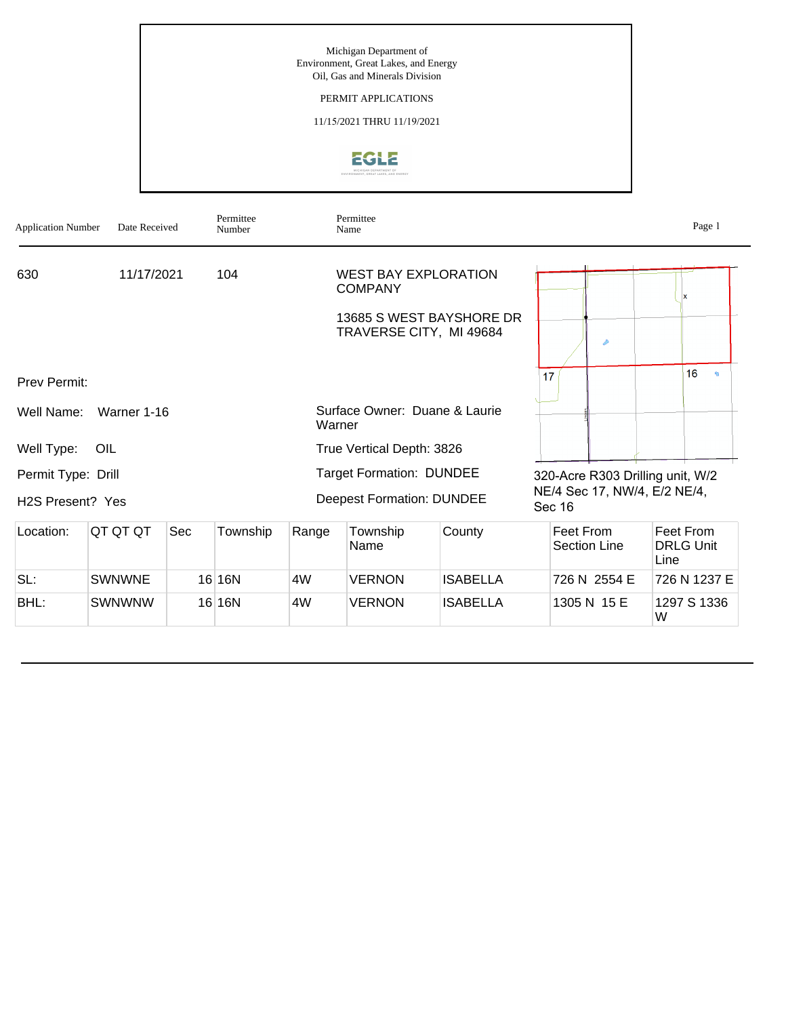# PERMIT APPLICATIONS

11/15/2021 THRU 11/19/2021



| <b>Application Number</b>                           | Date Received |                   | Permittee<br>Number |        | Permittee<br>Name                                                                                    |                 |                                                                            | Page 1                                |
|-----------------------------------------------------|---------------|-------------------|---------------------|--------|------------------------------------------------------------------------------------------------------|-----------------|----------------------------------------------------------------------------|---------------------------------------|
| 630                                                 |               | 11/17/2021<br>104 |                     |        | <b>WEST BAY EXPLORATION</b><br><b>COMPANY</b><br>13685 S WEST BAYSHORE DR<br>TRAVERSE CITY, MI 49684 |                 | D                                                                          |                                       |
| <b>Prev Permit:</b>                                 |               |                   |                     |        |                                                                                                      |                 | 17                                                                         | 16<br>$\mathbf{q}_i$                  |
| Well Name:                                          | Warner 1-16   |                   |                     | Warner | Surface Owner: Duane & Laurie                                                                        |                 |                                                                            |                                       |
| Well Type:                                          | OIL           |                   |                     |        | True Vertical Depth: 3826                                                                            |                 |                                                                            |                                       |
| Permit Type: Drill<br>H <sub>2</sub> S Present? Yes |               |                   |                     |        | <b>Target Formation: DUNDEE</b><br><b>Deepest Formation: DUNDEE</b>                                  |                 | 320-Acre R303 Drilling unit, W/2<br>NE/4 Sec 17, NW/4, E/2 NE/4,<br>Sec 16 |                                       |
| Location:                                           | QT QT QT      | Sec               | Township            | Range  | Township<br>Name                                                                                     | County          | Feet From<br><b>Section Line</b>                                           | Feet From<br><b>DRLG Unit</b><br>Line |
| SL:                                                 | <b>SWNWNE</b> |                   | 16 16N              | 4W     | VERNON                                                                                               | <b>ISABELLA</b> | 726 N 2554 E                                                               | 726 N 1237 E                          |
| BHL:                                                | SWNWNW        |                   | 16 16N              | 4W     | VERNON                                                                                               | <b>ISABELLA</b> | 1305 N 15 E                                                                | 1297 S 1336<br>W                      |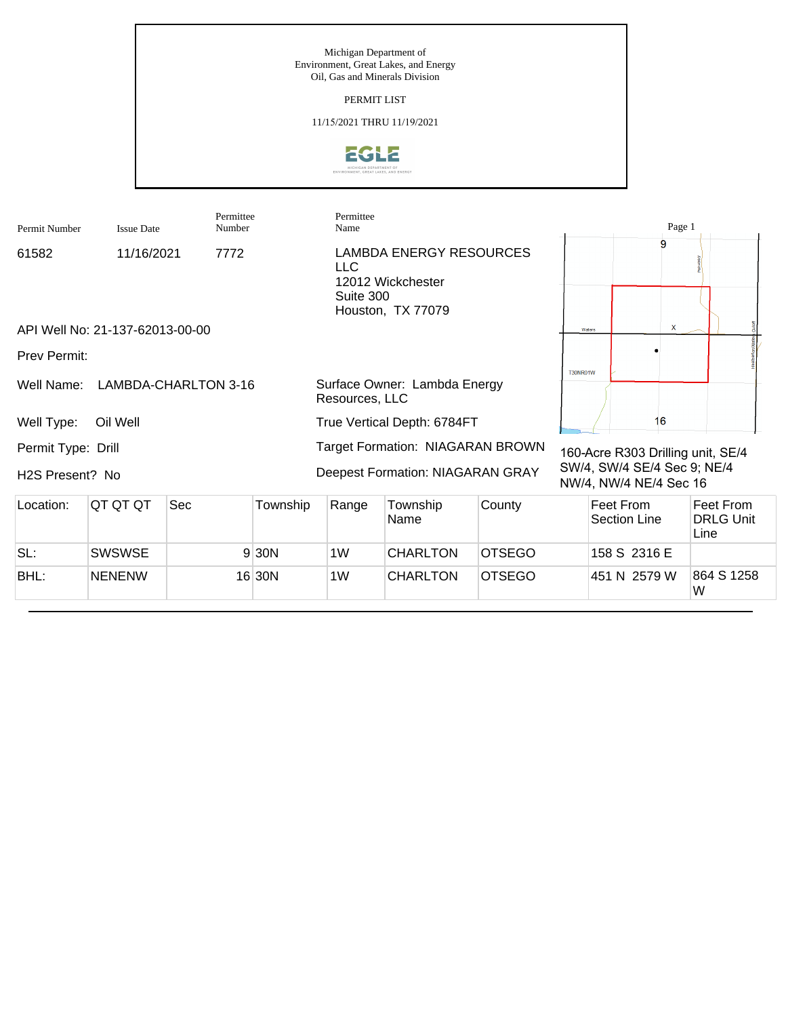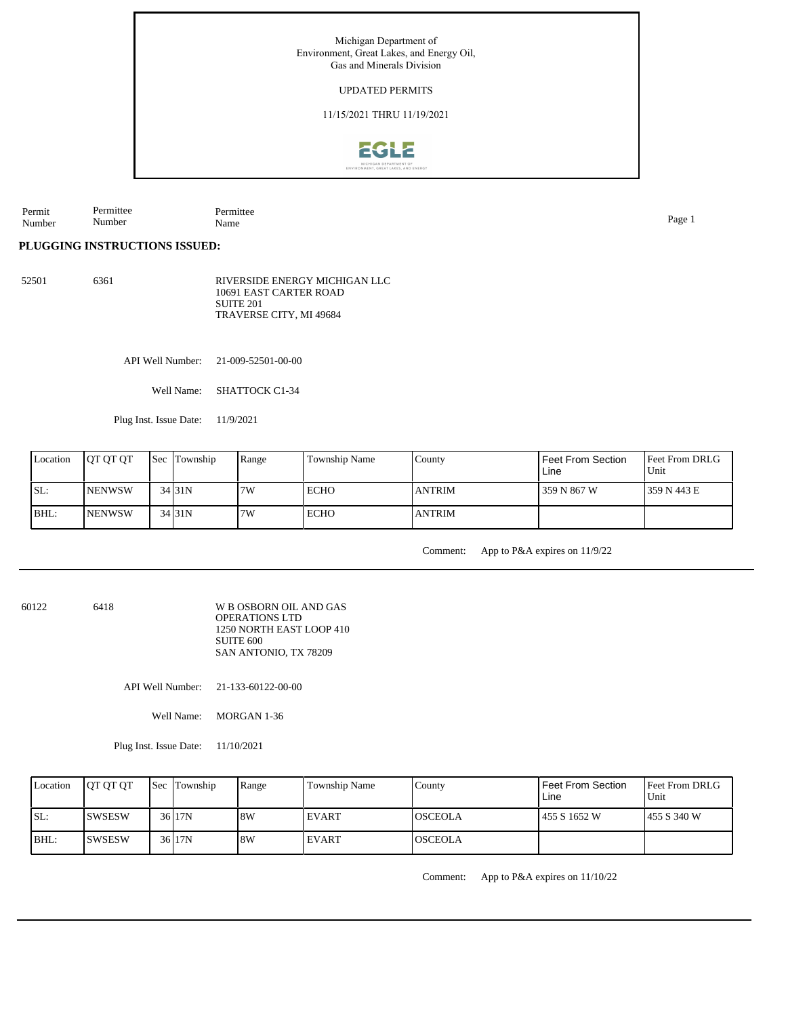Michigan Department of Environment, Great Lakes, and Energy Oil, Gas and Minerals Division UPDATED PERMITS 11/15/2021 THRU 11/19/2021**EGLE** 

Permit Number Permittee Number Permittee Name Page 1

**PLUGGING INSTRUCTIONS ISSUED:**

52501 6361 RIVERSIDE ENERGY MICHIGAN LLC 10691 EAST CARTER ROAD SUITE 201 TRAVERSE CITY, MI 49684

API Well Number: 21-009-52501-00-00

Well Name: SHATTOCK C1-34

Plug Inst. Issue Date: 11/9/2021

| Location | <b>JOT OT OT</b> | <b>Sec Township</b> | Range | <b>Township Name</b> | County        | Feet From Section<br>Line | <b>Feet From DRLG</b><br>Unit |
|----------|------------------|---------------------|-------|----------------------|---------------|---------------------------|-------------------------------|
| ISL:     | <b>NENWSW</b>    | 34 31N              | 7W    | <b>ECHO</b>          | <b>ANTRIM</b> | 359 N 867 W               | 1359 N 443 E                  |
| BHL:     | <b>NENWSW</b>    | 34 31N              | 7W    | <b>ECHO</b>          | <b>ANTRIM</b> |                           |                               |

Comment: App to P&A expires on 11/9/22

60122 6418

W B OSBORN OIL AND GAS OPERATIONS LTD 1250 NORTH EAST LOOP 410 SUITE 600 SAN ANTONIO, TX 78209

API Well Number: 21-133-60122-00-00

Well Name: MORGAN 1-36

Plug Inst. Issue Date: 11/10/2021

| Location | <b>IOT OT OT</b> | <b>Sec Township</b> | Range | Township Name | County          | Feet From Section<br>Line | <b>Feet From DRLG</b><br>Unit |
|----------|------------------|---------------------|-------|---------------|-----------------|---------------------------|-------------------------------|
| SL:      | ISWSESW          | 36 17N              | 8W    | EVART         | <b>IOSCEOLA</b> | 1455 S 1652 W             | 1455 S 340 W                  |
| $ BHL$ : | ISWSESW          | 36 17N              | 8W    | EVART         | <b>IOSCEOLA</b> |                           |                               |

Comment: App to P&A expires on 11/10/22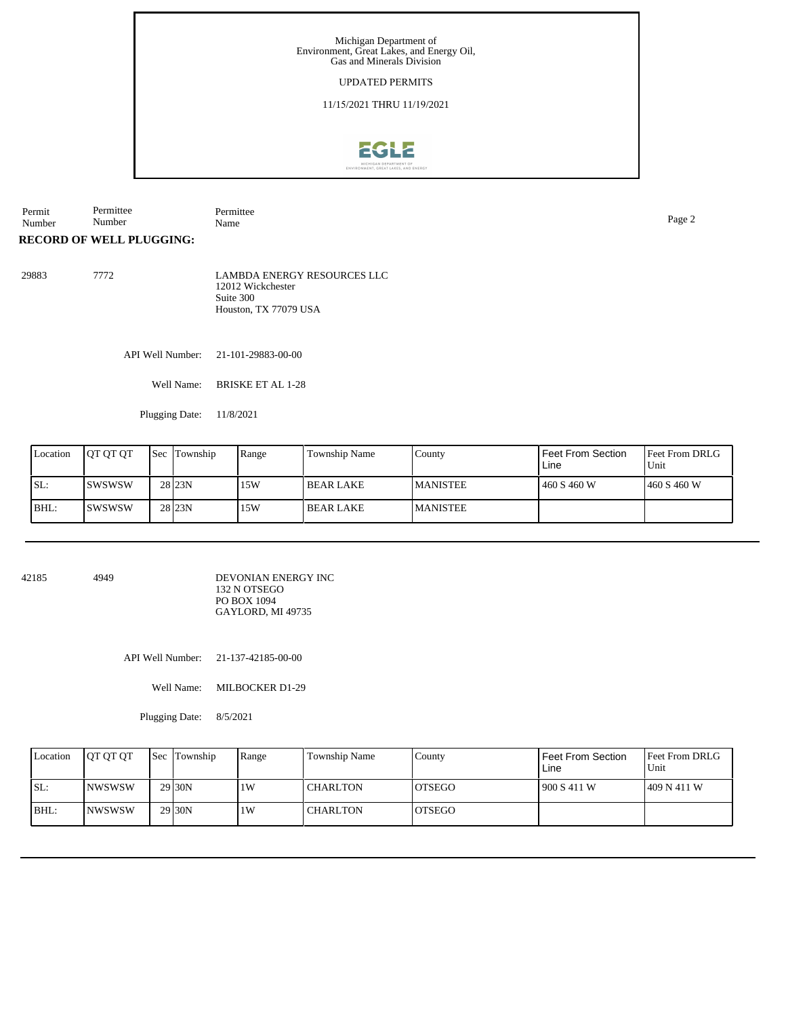## UPDATED PERMITS

11/15/2021 THRU 11/19/2021



Permit Number Permittee Number Permittee Name Page 2

**RECORD OF WELL PLUGGING:**

29883 7772 LAMBDA ENERGY RESOURCES LLC 12012 Wickchester Suite 300 Houston, TX 77079 USA

API Well Number: 21-101-29883-00-00

Well Name: BRISKE ET AL 1-28

Plugging Date: 11/8/2021

| Location | <b>OT OT OT</b> | <b>Sec Township</b> | Range | Township Name | County           | l Feet From Section<br>Line | <b>Feet From DRLG</b><br>Unit |
|----------|-----------------|---------------------|-------|---------------|------------------|-----------------------------|-------------------------------|
| ISL:     | ISWSWSW         | 28 <sub>23N</sub>   | 15W   | l BEAR LAKE   | <b>IMANISTEE</b> | 1460 S 460 W                | 1460 S 460 W                  |
| BHL:     | ISWSWSW         | 28 <sub>23N</sub>   | 15W   | I BEAR LAKE   | <b>MANISTEE</b>  |                             |                               |

42185 4949

DEVONIAN ENERGY INC 132 N OTSEGO PO BOX 1094 GAYLORD, MI 49735

API Well Number: 21-137-42185-00-00

Well Name: MILBOCKER D1-29

Plugging Date: 8/5/2021

| Location | <b>JOT OT OT</b> | Sec Township        | Range | Township Name | County         | l Feet From Section.<br>Line | <b>Feet From DRLG</b><br>Unit |
|----------|------------------|---------------------|-------|---------------|----------------|------------------------------|-------------------------------|
| SL:      | INWSWSW          | 29 <sub>130</sub> N | 1W    | l CHARLTON    | IOTSEGO        | 900 S 411 W                  | 1409 N 411 W                  |
| $IBHL$ : | <b>INWSWSW</b>   | 29 <sub>130</sub> N | 1W    | l CHARLTON    | <b>IOTSEGO</b> |                              |                               |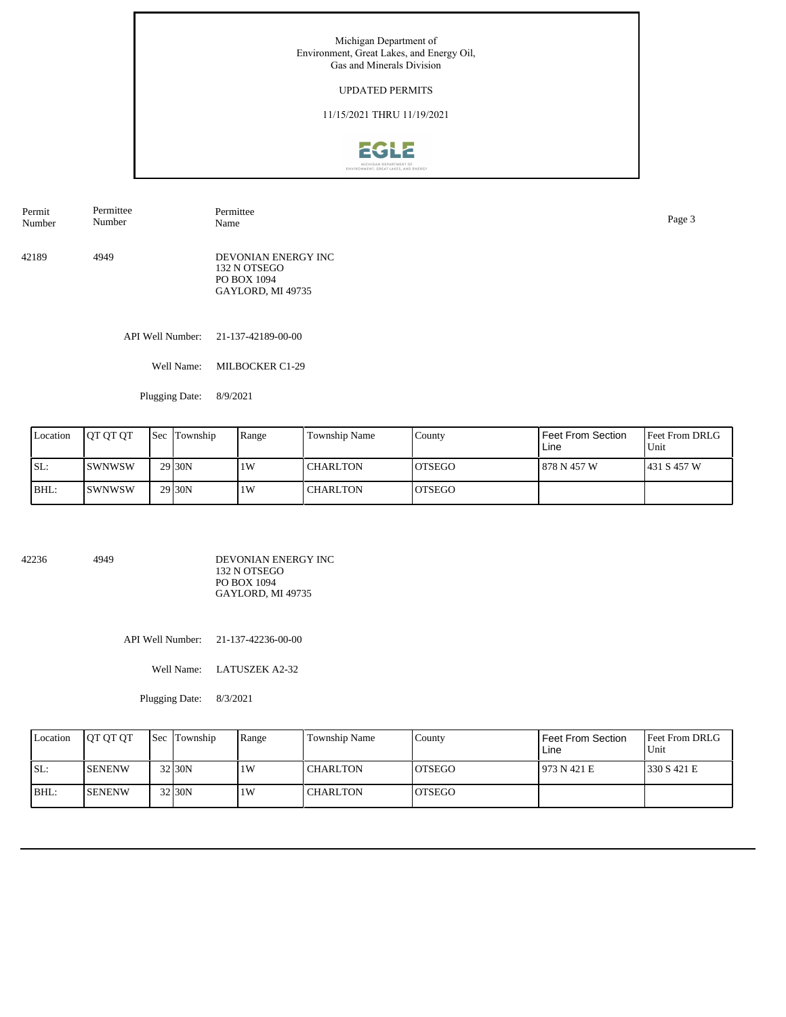## UPDATED PERMITS

## 11/15/2021 THRU 11/19/2021



42189 4949 DEVONIAN ENERGY INC 132 N OTSEGO Permit Number Permittee Number Permittee Name Page 3

PO BOX 1094 GAYLORD, MI 49735

API Well Number: 21-137-42189-00-00

Well Name: MILBOCKER C1-29

Plugging Date: 8/9/2021

| Location | <b>IOT OT OT</b> | <b>Sec</b> Township | Range | Township Name   | County         | Feet From Section<br>Line | <b>Feet From DRLG</b><br>Unit |
|----------|------------------|---------------------|-------|-----------------|----------------|---------------------------|-------------------------------|
| ISL:     | ISWNWSW          | 29 <sub>130</sub> N | 1W    | <b>CHARLTON</b> | <b>IOTSEGO</b> | 878 N 457 W               | 1431 S 457 W                  |
| BHL:     | ISWNWSW          | 29 <sub>30</sub> N  | 1W    | <b>CHARLTON</b> | <b>IOTSEGO</b> |                           |                               |

42236 4949

DEVONIAN ENERGY INC 132 N OTSEGO PO BOX 1094 GAYLORD, MI 49735

API Well Number: 21-137-42236-00-00

Well Name: LATUSZEK A2-32

Plugging Date: 8/3/2021

| Location | <b>IOT OT OT</b> | Sec Township | Range | Township Name   | County         | Feet From Section<br>Line | <b>Feet From DRLG</b><br>Unit |
|----------|------------------|--------------|-------|-----------------|----------------|---------------------------|-------------------------------|
| SL:      | <b>SENENW</b>    | 32 30N       | 1W    | <b>CHARLTON</b> | IOTSEGO        | 1973 N 421 E              | 1330 S 421 E                  |
| $IBHL$ : | <b>ISENENW</b>   | 32 30N       | 1W    | l CHARLTON      | <b>IOTSEGO</b> |                           |                               |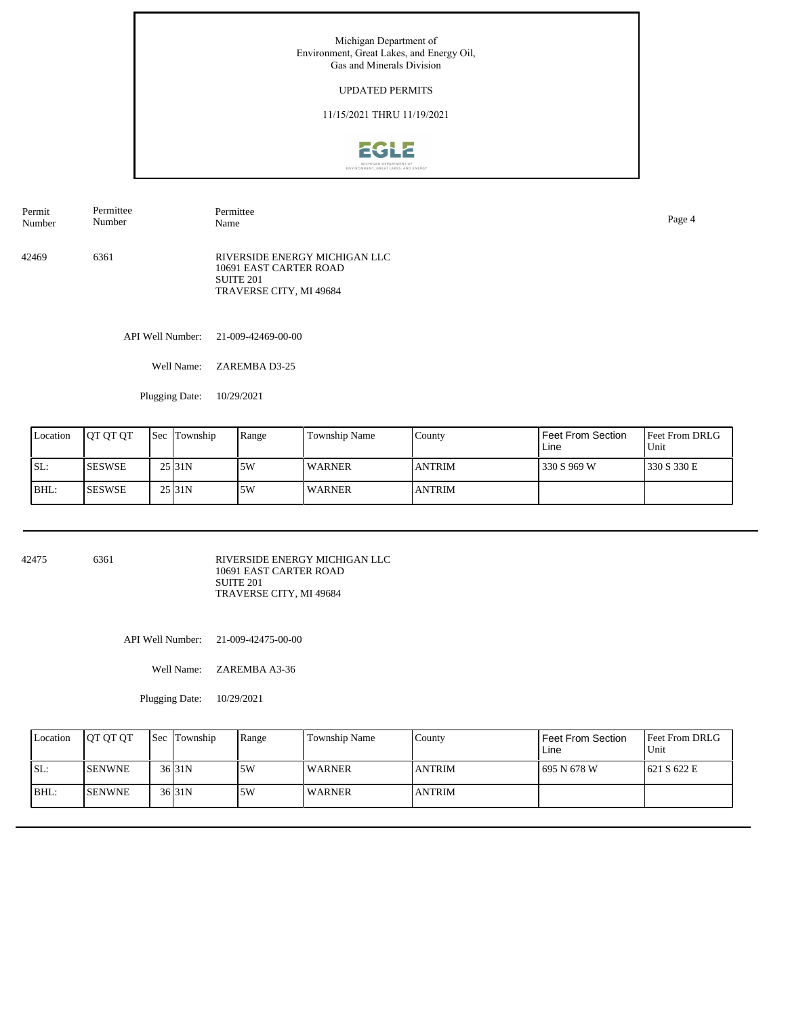## UPDATED PERMITS

## 11/15/2021 THRU 11/19/2021



42469 6361 RIVERSIDE ENERGY MICHIGAN LLC 10691 EAST CARTER ROAD SUITE 201 TRAVERSE CITY, MI 49684 Permit Number Permittee Number Permittee Name Page 4

API Well Number: 21-009-42469-00-00

Well Name: ZAREMBA D3-25

Plugging Date: 10/29/2021

| Location | <b>IOT OT OT</b> | <b>Sec</b> Township | Range | Township Name | County        | Feet From Section<br>Line | <b>Feet From DRLG</b><br>Unit |
|----------|------------------|---------------------|-------|---------------|---------------|---------------------------|-------------------------------|
| ISL:     | ISESWSE          | $25$ <sub>31N</sub> | 5W    | <b>WARNER</b> | <b>ANTRIM</b> | 330 S 969 W               | 1330 S 330 E                  |
| IBHL:    | <b>ISESWSE</b>   | 25 31N              | .5W   | <b>WARNER</b> | <b>ANTRIM</b> |                           |                               |

42475 6361

RIVERSIDE ENERGY MICHIGAN LLC 10691 EAST CARTER ROAD SUITE 201 TRAVERSE CITY, MI 49684

API Well Number: 21-009-42475-00-00

Well Name: ZAREMBA A3-36

Plugging Date: 10/29/2021

| Location | <b>OT OT OT</b> | <b>Sec Township</b> | Range | Township Name | County        | I Feet From Section<br>Line | <b>Feet From DRLG</b><br>Unit |
|----------|-----------------|---------------------|-------|---------------|---------------|-----------------------------|-------------------------------|
| ISL:     | <b>SENWNE</b>   | $36$ $31N$          | .5W   | <b>WARNER</b> | <b>ANTRIM</b> | 1695 N 678 W                | 621 S 622 E                   |
| BHL:     | <b>SENWNE</b>   | $36$ $31N$          | 5W    | <b>WARNER</b> | <b>ANTRIM</b> |                             |                               |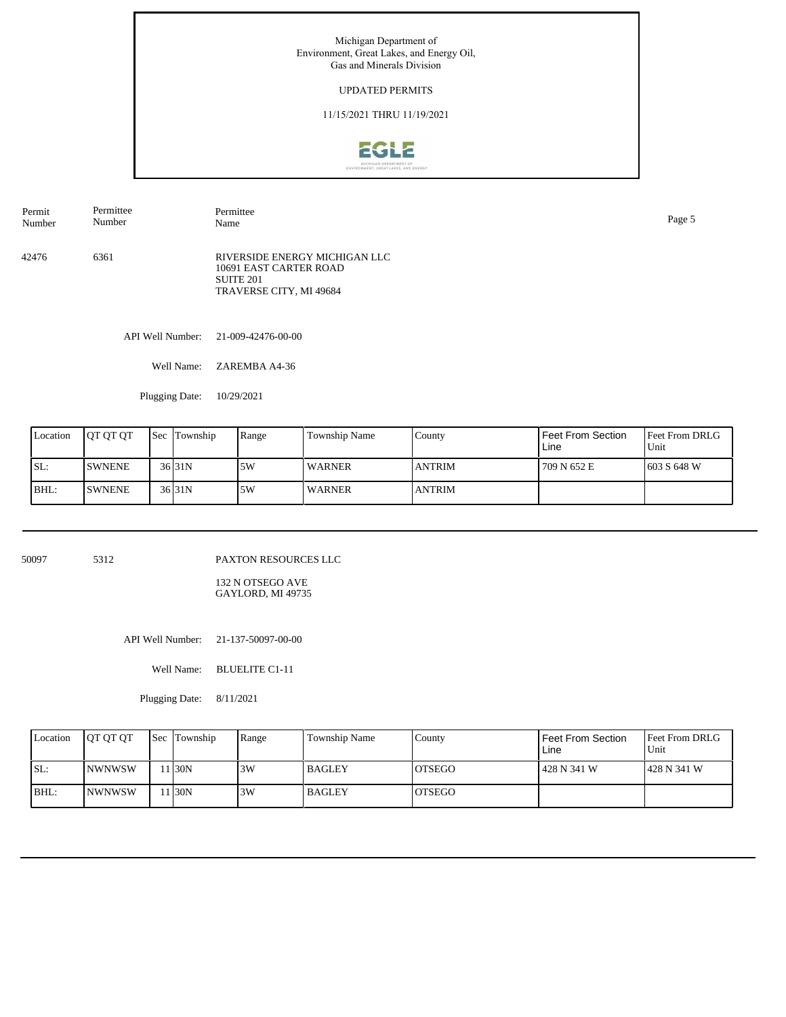## UPDATED PERMITS

## 11/15/2021 THRU 11/19/2021



API Well Number: 21-009-42476-00-00 42476 6361 RIVERSIDE ENERGY MICHIGAN LLC 10691 EAST CARTER ROAD SUITE 201 TRAVERSE CITY, MI 49684 Permit Number Permittee Number Permittee Name Page 5

Well Name: ZAREMBA A4-36

Plugging Date: 10/29/2021

| Location | <b>IOT OT OT</b> | <b>Sec Township</b> | Range | Township Name | County        | l Feet From Section<br>Line | <b>Feet From DRLG</b><br>Unit |
|----------|------------------|---------------------|-------|---------------|---------------|-----------------------------|-------------------------------|
| SL:      | <b>ISWNENE</b>   | $36$ $31N$          | .5W   | <b>WARNER</b> | <b>ANTRIM</b> | 709 N 652 E                 | 1603 S 648 W                  |
| BHL:     | <b>ISWNENE</b>   | $36$ $31N$          | .5W   | <b>WARNER</b> | <b>ANTRIM</b> |                             |                               |

50097 5312

PAXTON RESOURCES LLC

132 N OTSEGO AVE GAYLORD, MI 49735

API Well Number: 21-137-50097-00-00

Well Name: BLUELITE C1-11

Plugging Date: 8/11/2021

| Location | <b>IOT OT OT</b> | Sec Township | Range | Township Name | County         | l Feet From Section<br>Line | <b>Feet From DRLG</b><br>Unit |
|----------|------------------|--------------|-------|---------------|----------------|-----------------------------|-------------------------------|
| SL:      | <b>INWNWSW</b>   | 130N         | 3W    | <b>BAGLEY</b> | <b>IOTSEGO</b> | l 428 N 341 W               | 1428 N 341 W                  |
| $IBHL$ : | <b>INWNWSW</b>   | 130N         | 3W    | <b>BAGLEY</b> | IOTSEGO        |                             |                               |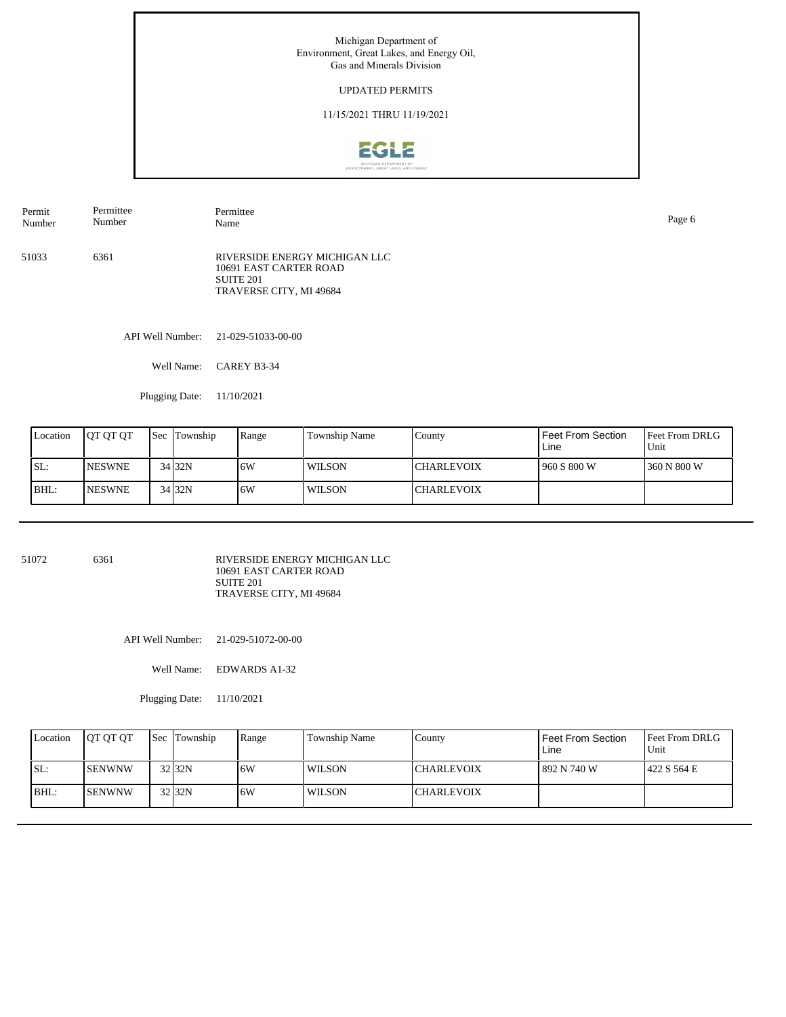## UPDATED PERMITS

## 11/15/2021 THRU 11/19/2021



51033 6361 RIVERSIDE ENERGY MICHIGAN LLC 10691 EAST CARTER ROAD SUITE 201 TRAVERSE CITY, MI 49684 Permit Number Permittee Number Permittee Name Page 6

API Well Number: 21-029-51033-00-00

Well Name: CAREY B3-34

Plugging Date: 11/10/2021

| Location | <b>IOT OT OT</b> | Sec Township | Range | Township Name | County             | <b>I</b> Feet From Section<br>Line | <b>Feet From DRLG</b><br>l Unit |
|----------|------------------|--------------|-------|---------------|--------------------|------------------------------------|---------------------------------|
| ISL:     | <b>NESWNE</b>    | 34 32N       | .6W   | WILSON        | <b>CHARLEVOIX</b>  | 1960 S 800 W                       | 1360 N 800 W                    |
| BHL:     | <b>INESWNE</b>   | 34 32N       | .6W   | WILSON        | <b>ICHARLEVOIX</b> |                                    |                                 |

51072 6361

RIVERSIDE ENERGY MICHIGAN LLC 10691 EAST CARTER ROAD SUITE 201 TRAVERSE CITY, MI 49684

API Well Number: 21-029-51072-00-00

Well Name: EDWARDS A1-32

Plugging Date: 11/10/2021

| Location | <b>OT OT OT</b> | <b>Sec Township</b> | Range | Township Name | County             | Feet From Section<br>Line | <b>Feet From DRLG</b><br>Unit |
|----------|-----------------|---------------------|-------|---------------|--------------------|---------------------------|-------------------------------|
| SL:      | ISENWNW         | $32$ 32N            | 6W    | WILSON        | <b>ICHARLEVOIX</b> | 892 N 740 W               | 1422 S 564 E                  |
| BHL:     | <b>ISENWNW</b>  | $32$ 32N            | 6W    | WILSON        | <b>ICHARLEVOIX</b> |                           |                               |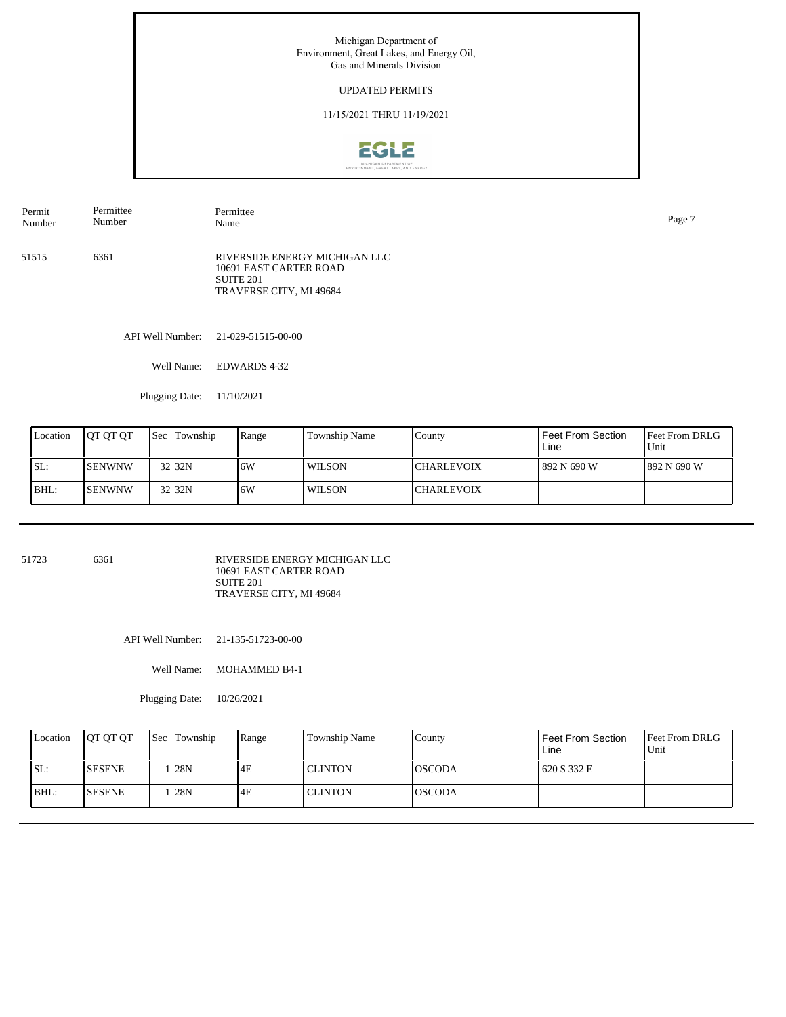## UPDATED PERMITS

## 11/15/2021 THRU 11/19/2021



51515 6361 RIVERSIDE ENERGY MICHIGAN LLC 10691 EAST CARTER ROAD SUITE 201 TRAVERSE CITY, MI 49684 Permit Number Permittee Number Permittee Name Page 7

API Well Number: 21-029-51515-00-00

Well Name: EDWARDS 4-32

Plugging Date: 11/10/2021

| Location | <b>IOT OT OT</b> | Sec Township       | Range | Township Name | County            | l Feet From Section<br>Line | <b>Feet From DRLG</b><br>Unit |
|----------|------------------|--------------------|-------|---------------|-------------------|-----------------------------|-------------------------------|
| ISL:     | ISENWNW          | 32 <sub>132N</sub> | 6W    | <b>WILSON</b> | ICHARLEVOIX       | l 892 N 690 W               | 1892 N 690 W                  |
| BHL:     | <b>ISENWNW</b>   | 32 32N             | .6W   | <b>WILSON</b> | <b>CHARLEVOIX</b> |                             |                               |

51723 6361

RIVERSIDE ENERGY MICHIGAN LLC 10691 EAST CARTER ROAD SUITE 201 TRAVERSE CITY, MI 49684

API Well Number: 21-135-51723-00-00

Well Name: MOHAMMED B4-1

Plugging Date: 10/26/2021

| Location | <b>OT OT OT</b> | Sec Township | Range | Township Name | County         | l Feet From Section<br>Line | <b>Feet From DRLG</b><br>Unit |
|----------|-----------------|--------------|-------|---------------|----------------|-----------------------------|-------------------------------|
| SL:      | <b>SESENE</b>   | . 28N        | 4E    | l CLINTON     | <b>IOSCODA</b> | 620 S 332 E                 |                               |
| BHL:     | <b>SESENE</b>   | . 28N        | 4E    | l CLINTON     | IOSCODA        |                             |                               |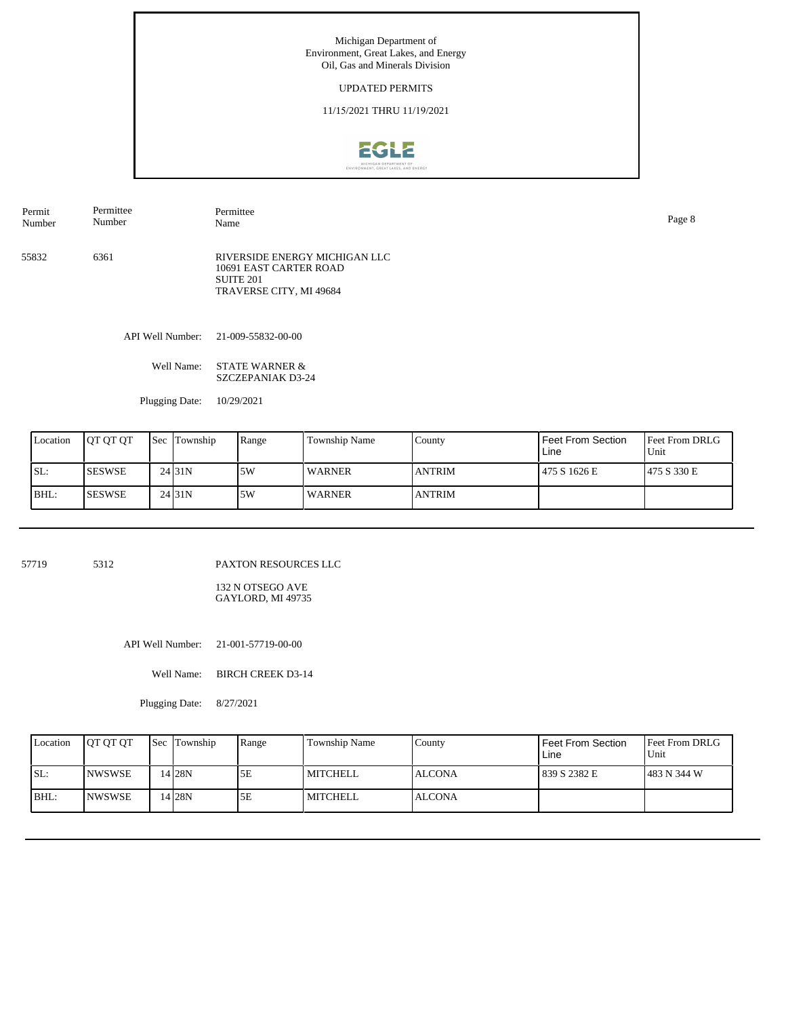#### UPDATED PERMITS

11/15/2021 THRU 11/19/2021



55832 6361 RIVERSIDE ENERGY MICHIGAN LLC 10691 EAST CARTER ROAD SUITE 201 TRAVERSE CITY, MI 49684 Permit Number Permittee Number Permittee Name Page 8

API Well Number: 21-009-55832-00-00

Well Name: STATE WARNER & SZCZEPANIAK D3-24

Plugging Date: 10/29/2021

| Location | <b>IOT OT OT</b> | Sec Township        | Range | <b>Township Name</b> | County        | l Feet From Section<br>Line | <b>Feet From DRLG</b><br>Unit |
|----------|------------------|---------------------|-------|----------------------|---------------|-----------------------------|-------------------------------|
| SL:      | <b>ISESWSE</b>   | 24 31N              | 15W   | <b>WARNER</b>        | <b>ANTRIM</b> | 475 S 1626 E                | 1475 S 330 E                  |
| BHL:     | <b>ISESWSE</b>   | 24 <sub>131</sub> N | .5W   | <b>WARNER</b>        | <b>ANTRIM</b> |                             |                               |

57719 5312

PAXTON RESOURCES LLC

132 N OTSEGO AVE GAYLORD, MI 49735

API Well Number: 21-001-57719-00-00

Well Name: BIRCH CREEK D3-14

Plugging Date: 8/27/2021

| Location | <b>OT OT OT</b> | <b>Sec Township</b> | Range | Township Name | County        | l Feet From Section<br>Line | <b>Feet From DRLG</b><br>Unit |
|----------|-----------------|---------------------|-------|---------------|---------------|-----------------------------|-------------------------------|
| SL:      | <b>INWSWSE</b>  | 14 28N              | 5E    | l MITCHELL    | <b>ALCONA</b> | 1839 S 2382 E               | 1483 N 344 W                  |
| BHL:     | <b>INWSWSE</b>  | 14 28 N             | 5E    | l MITCHELL    | <b>ALCONA</b> |                             |                               |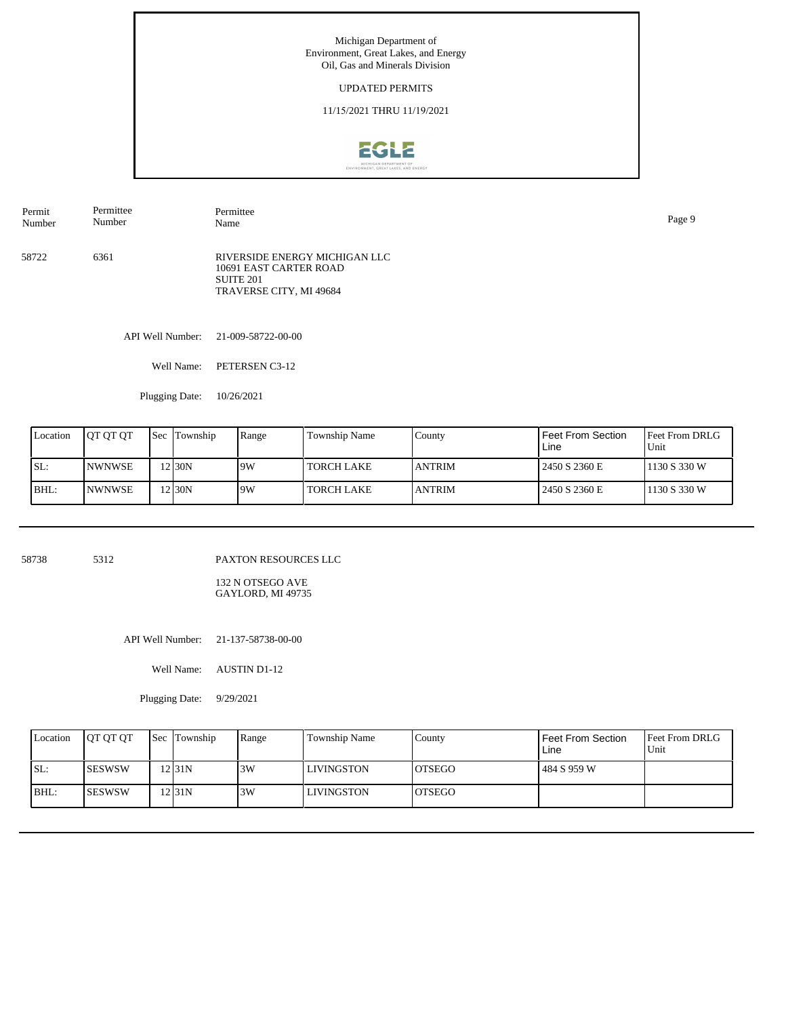#### UPDATED PERMITS

11/15/2021 THRU 11/19/2021



58722 6361 RIVERSIDE ENERGY MICHIGAN LLC 10691 EAST CARTER ROAD SUITE 201 TRAVERSE CITY, MI 49684 Permit Number Permittee Number Permittee Name Page 9

API Well Number: 21-009-58722-00-00

Well Name: PETERSEN C3-12

Plugging Date: 10/26/2021

| Location | <b>IOT OT OT</b> | <b>Sec</b> Township | Range | Township Name     | County         | l Feet From Section<br>Line | <b>Feet From DRLG</b><br>Unit |
|----------|------------------|---------------------|-------|-------------------|----------------|-----------------------------|-------------------------------|
| SL:      | <b>INWNWSE</b>   | 2 30N               | 9W    | <b>TORCH LAKE</b> | <b>ANTRIM</b>  | 12450 S 2360 E              | 1130 S 330 W                  |
| BHL:     | <b>INWNWSE</b>   | $2$ <sub>30</sub> N | 9W    | <b>TORCH LAKE</b> | <b>LANTRIM</b> | 2450 S 2360 E               | 1130 S 330 W                  |

58738 5312

PAXTON RESOURCES LLC

132 N OTSEGO AVE GAYLORD, MI 49735

API Well Number: 21-137-58738-00-00

Well Name: AUSTIN D1-12

Plugging Date: 9/29/2021

| Location | <b>OT OT OT</b> | <b>Sec</b> Township | Range | Township Name     | County  | I Feet From Section<br>Line | <b>Feet From DRLG</b><br>Unit |
|----------|-----------------|---------------------|-------|-------------------|---------|-----------------------------|-------------------------------|
| SL:      | <b>ISESWSW</b>  | 12 I 31 N           | 3W    | <b>LIVINGSTON</b> | IOTSEGO | l 484 S 959 W               |                               |
| BHL:     | <b>ISESWSW</b>  | 12 I 31 N           | 3W    | <b>LIVINGSTON</b> | IOTSEGO |                             |                               |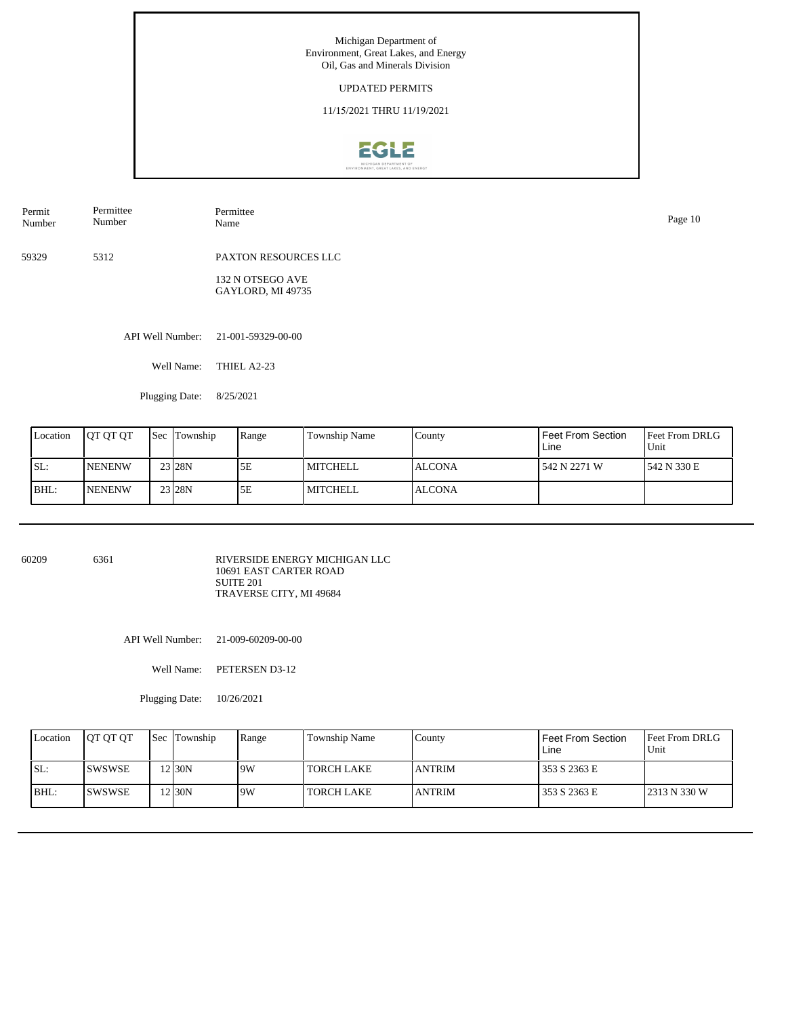#### UPDATED PERMITS

11/15/2021 THRU 11/19/2021



| Permit<br>Number | Permittee<br>Number | Permittee<br>Name                     | Page 10 |
|------------------|---------------------|---------------------------------------|---------|
| 59329            | 5312                | PAXTON RESOURCES LLC                  |         |
|                  |                     | 132 N OTSEGO AVE<br>GAYLORD, MI 49735 |         |
|                  | API Well Number:    | 21-001-59329-00-00                    |         |
|                  | Well Name:          | THIEL A2-23                           |         |

Plugging Date: 8/25/2021

| Location | <b>OT OT OT</b> | <b>Sec Township</b> | Range | Township Name | County        | I Feet From Section<br>Line | <b>Feet From DRLG</b><br>Unit |
|----------|-----------------|---------------------|-------|---------------|---------------|-----------------------------|-------------------------------|
| ISL:     | <b>NENENW</b>   | 23 28N              | 5Ε    | MITCHELL      | <b>ALCONA</b> | l 542 N 2271 W              | 542 N 330 E                   |
| IBHL:    | <b>NENENW</b>   | 23 <sub>128N</sub>  | 5Ε    | MITCHELL      | <b>ALCONA</b> |                             |                               |

60209 6361

RIVERSIDE ENERGY MICHIGAN LLC 10691 EAST CARTER ROAD SUITE 201 TRAVERSE CITY, MI 49684

API Well Number: 21-009-60209-00-00

Well Name: PETERSEN D3-12

Plugging Date: 10/26/2021

| Location | <b>IOT OT OT</b> | <b>Sec</b> Township | Range | Township Name | County        | l Feet From Section<br>Line | <b>Feet From DRLG</b><br>Unit |
|----------|------------------|---------------------|-------|---------------|---------------|-----------------------------|-------------------------------|
| ISL:     | <b>ISWSWSE</b>   | 2 I 30 N            | 9W    | I TORCH LAKE  | <b>ANTRIM</b> | 353 S 2363 E                |                               |
| BHL:     | <b>ISWSWSE</b>   | 2 I 30 N            | 19W   | I TORCH LAKE  | <b>ANTRIM</b> | 353 S 2363 E                | 2313 N 330 W                  |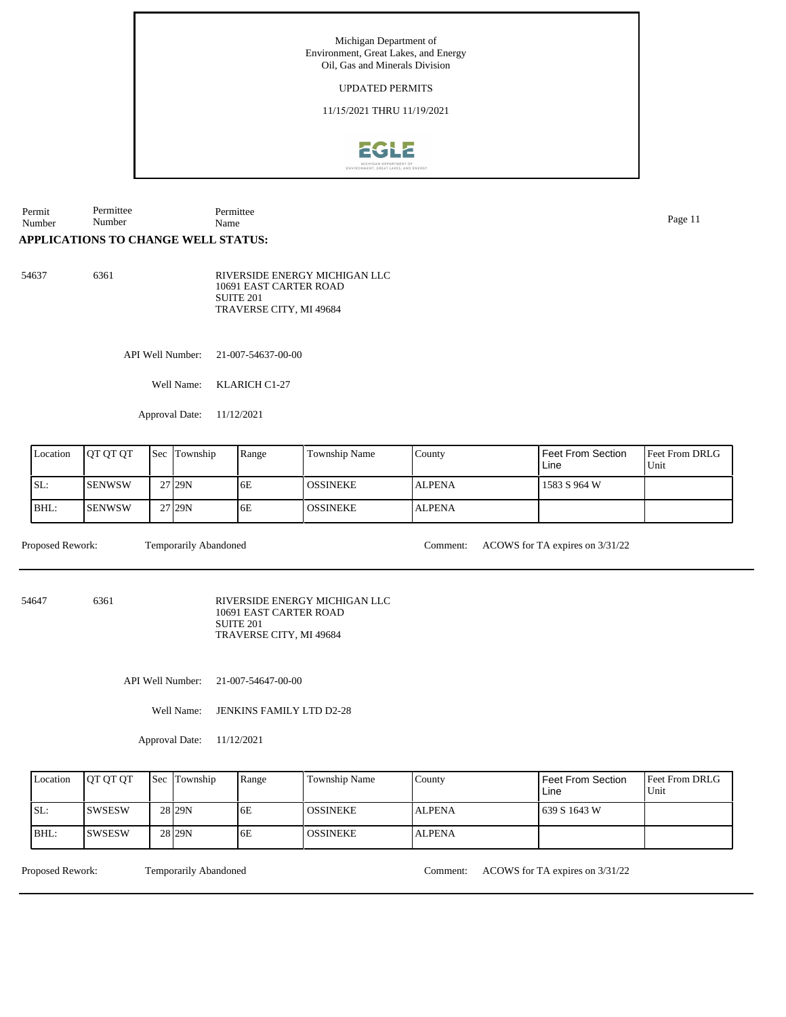#### UPDATED PERMITS

11/15/2021 THRU 11/19/2021



Permit Number Permittee Number Permittee Name Page 11

## **APPLICATIONS TO CHANGE WELL STATUS:**

54637 6361 RIVERSIDE ENERGY MICHIGAN LLC 10691 EAST CARTER ROAD SUITE 201 TRAVERSE CITY, MI 49684

API Well Number: 21-007-54637-00-00

Well Name: KLARICH C1-27

Approval Date: 11/12/2021

| Location | IOT OT OT     | <b>Sec</b> | Township | Range | Township Name   | County        | Feet From Section<br>Line | <b>Feet From DRLG</b><br>Unit |
|----------|---------------|------------|----------|-------|-----------------|---------------|---------------------------|-------------------------------|
| SL:      | <b>SENWSW</b> |            | 27 29N   | 6E    | I OSSINEKE.     | <b>ALPENA</b> | 1583 S 964 W              |                               |
| BHL:     | <b>SENWSW</b> |            | 27 29N   | 6E    | <b>OSSINEKE</b> | <b>ALPENA</b> |                           |                               |

Proposed Rework: Temporarily Abandoned Comment: ACOWS for TA expires on 3/31/22

54647 6361

RIVERSIDE ENERGY MICHIGAN LLC 10691 EAST CARTER ROAD SUITE 201 TRAVERSE CITY, MI 49684

API Well Number: 21-007-54647-00-00

Well Name: JENKINS FAMILY LTD D2-28

Approval Date: 11/12/2021

| Location | <b>IOT OT OT</b> | <b>Sec</b> Township | Range | <b>Township Name</b> | County        | Feet From Section<br>Line | <b>Feet From DRLG</b><br>Unit |
|----------|------------------|---------------------|-------|----------------------|---------------|---------------------------|-------------------------------|
| SL:      | <b>SWSESW</b>    | 28 <sub>129N</sub>  | 6E    | <b>OSSINEKE</b>      | <b>ALPENA</b> | 639 S 1643 W              |                               |
| BHL:     | ISWSESW          | 28 <sub>29N</sub>   | 6E    | <b>OSSINEKE</b>      | <b>ALPENA</b> |                           |                               |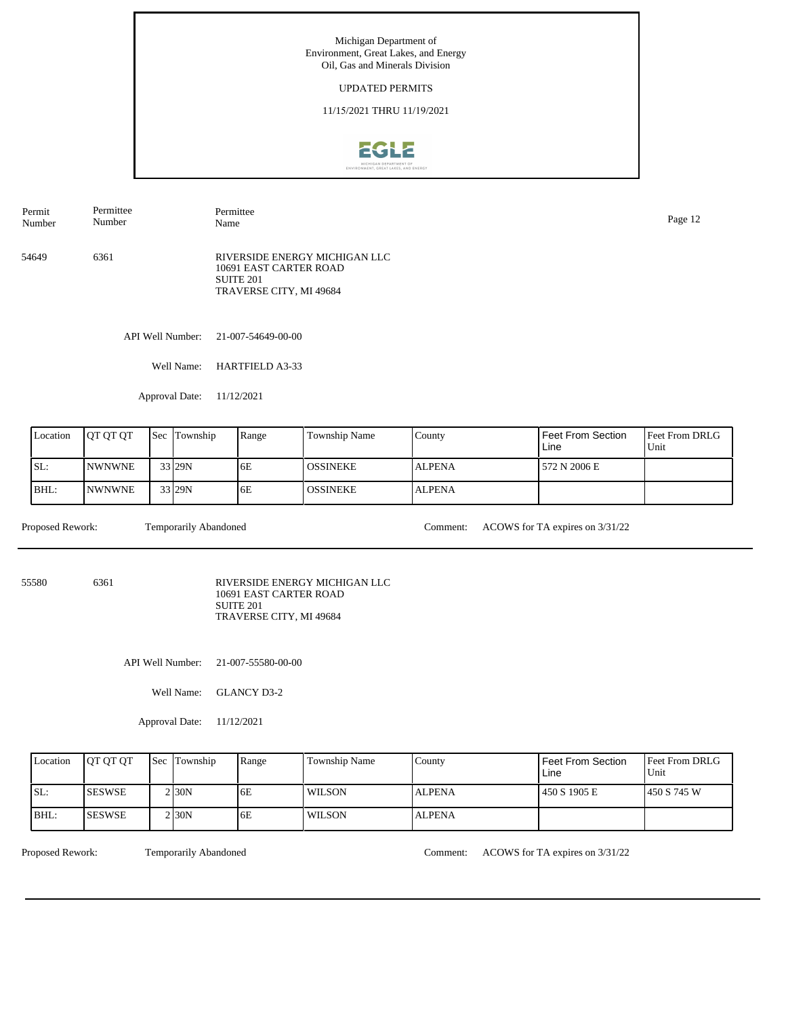#### UPDATED PERMITS

11/15/2021 THRU 11/19/2021



API Well Number: 21-007-54649-00-00 54649 6361 RIVERSIDE ENERGY MICHIGAN LLC 10691 EAST CARTER ROAD SUITE 201 TRAVERSE CITY, MI 49684 Permit Number Permittee Number Permittee Name Page 12

Well Name: HARTFIELD A3-33

Approval Date: 11/12/2021

| Location | <b>IOT OT OT</b> | <b>Sec Township</b> | Range | <b>Township Name</b> | County        | <b>Feet From Section</b><br>Line | <b>Feet From DRLG</b><br>Unit |
|----------|------------------|---------------------|-------|----------------------|---------------|----------------------------------|-------------------------------|
| SL:      | <b>INWNWNE</b>   | $33$ 29N            | 6E    | <b>OSSINEKE</b>      | <b>ALPENA</b> | 572 N 2006 E                     |                               |
| BHL:     | <b>INWNWNE</b>   | 33 29N              | 6E    | <b>OSSINEKE</b>      | <b>ALPENA</b> |                                  |                               |

Proposed Rework: Temporarily Abandoned Comment: ACOWS for TA expires on  $3/31/22$ 

55580 6361

RIVERSIDE ENERGY MICHIGAN LLC 10691 EAST CARTER ROAD SUITE 201 TRAVERSE CITY, MI 49684

API Well Number: 21-007-55580-00-00

Well Name: GLANCY D3-2

Approval Date: 11/12/2021

| Location | <b>IOT OT OT</b> | <b>Sec</b> Township | Range | Township Name | County        | Feet From Section<br>Line | <b>Feet From DRLG</b><br>Unit |
|----------|------------------|---------------------|-------|---------------|---------------|---------------------------|-------------------------------|
| ISL:     | ISESWSE          | 2 30N               | 6E    | <b>WILSON</b> | <b>ALPENA</b> | 450 S 1905 E              | 450 S 745 W                   |
| IBHL:    | <b>ISESWSE</b>   | $2$ <sub>30</sub> N | 6E    | WILSON        | <b>ALPENA</b> |                           |                               |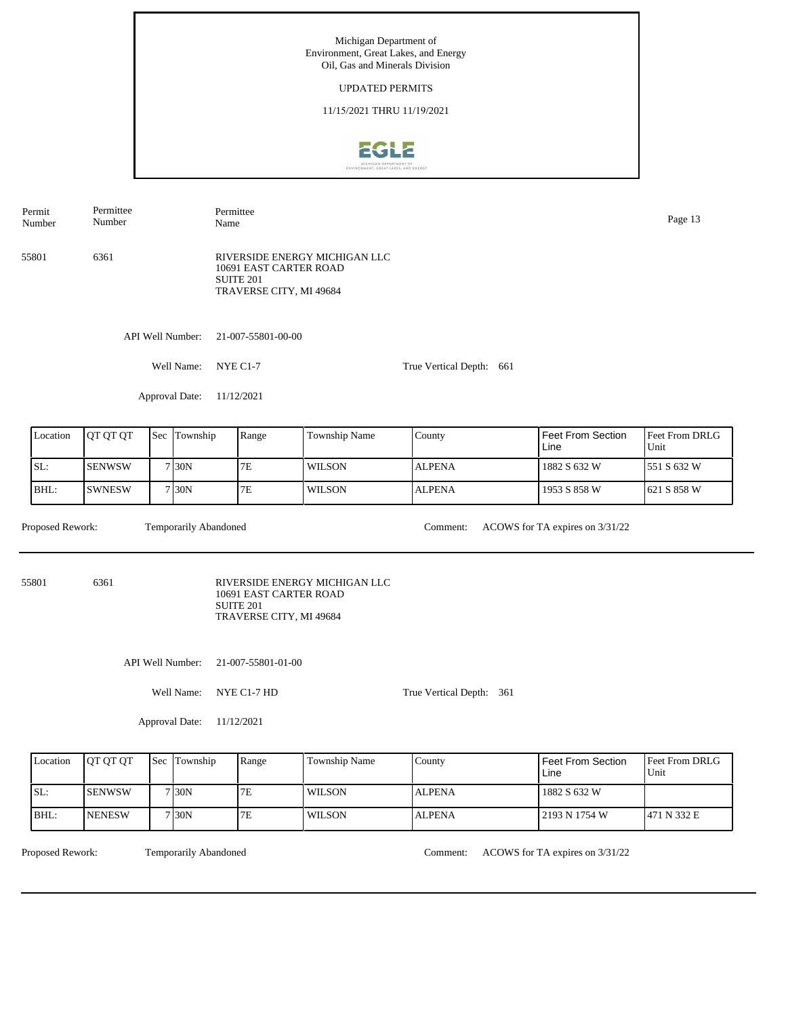Michigan Department of Environment, Great Lakes, and Energy Oil, Gas and Minerals Division UPDATED PERMITS 11/15/2021 THRU 11/19/20212GL2 Permittee Permit Permittee Number Page 13<br>Name Page 13 Number 55801 6361 RIVERSIDE ENERGY MICHIGAN LLC 10691 EAST CARTER ROAD SUITE 201 TRAVERSE CITY, MI 49684 API Well Number: 21-007-55801-00-00 Well Name: NYE C1-7 True Vertical Depth: 661 Approval Date: 11/12/2021 Feet From DRLG Feet From Section Location | QT QT QT | Sec | Township | Range | Township Name Sec Township County Line Unit SL: SENWSW 7E WILSON 1882 S 632 W 551 S 632 W ALPENA 7 30N BHL: SWNESW 30N 7E WILSON ALPENA 1953 S 858 W 621 S 858 W 7 Proposed Rework: Temporarily Abandoned Comment: ACOWS for TA expires on  $3/31/22$ Temporarily Abandoned 55801 6361 RIVERSIDE ENERGY MICHIGAN LLC 10691 EAST CARTER ROAD SUITE 201 TRAVERSE CITY, MI 49684 API Well Number: 21-007-55801-01-00 Well Name: NYE C1-7 HD True Vertical Depth: 361 Approval Date: 11/12/2021 Location QT QT QT Sec Township Range Township Name Township County Feet From Section Feet From DRLG Line Unit SL: SENWSW 7E WILSON 1882 S 632 W ALPENA 7 30N BHL: NENESW 30N 7E WILSON ALPENA 2193 N 1754 W 471 N 332 E 7

Temporarily Abandoned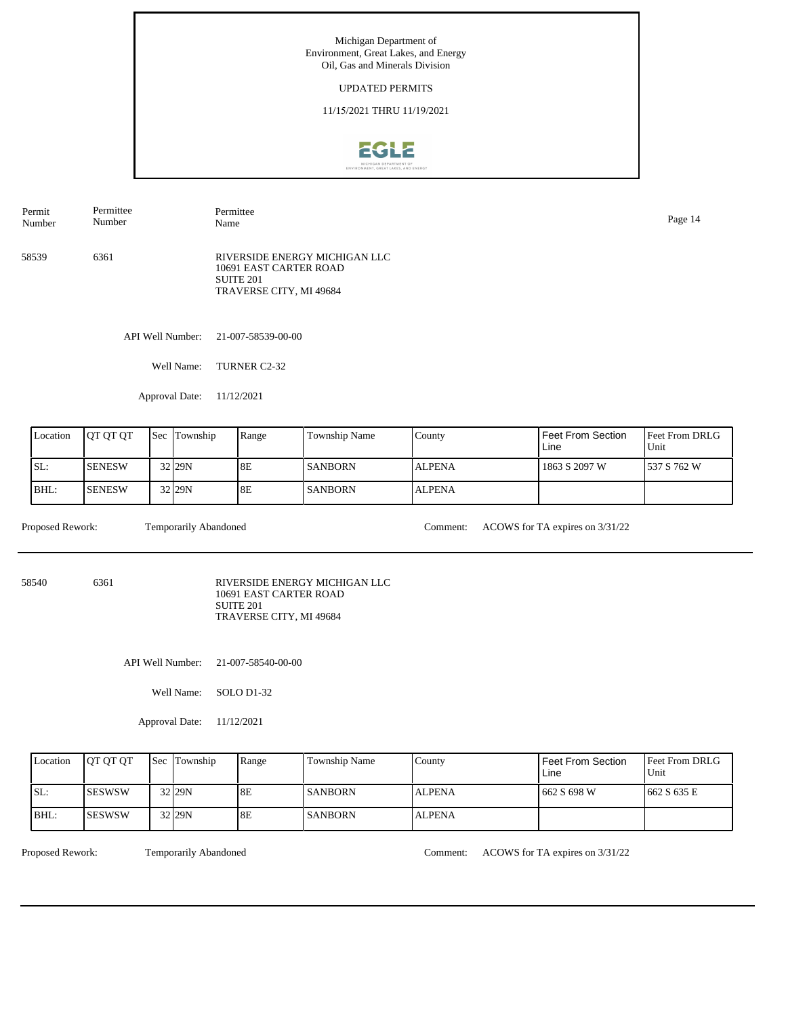#### UPDATED PERMITS

11/15/2021 THRU 11/19/2021



API Well Number: 21-007-58539-00-00 58539 6361 RIVERSIDE ENERGY MICHIGAN LLC 10691 EAST CARTER ROAD SUITE 201 TRAVERSE CITY, MI 49684 Permit Number Permittee Number Permittee Name Page 14

Well Name: TURNER C2-32

Approval Date: 11/12/2021

| Location | <b>IOT OT OT</b> | <b>Sec Township</b> | l Range   | Township Name  | Countv        | Feet From Section<br>Line | <b>Feet From DRLG</b><br>Unit |
|----------|------------------|---------------------|-----------|----------------|---------------|---------------------------|-------------------------------|
| ISL:     | <b>ISENESW</b>   | $32$ <sub>29N</sub> | <b>8E</b> | <b>SANBORN</b> | <b>ALPENA</b> | 1863 S 2097 W             | 1537 S 762 W                  |
| BHL:     | <b>SENESW</b>    | 32 29N              | <b>8E</b> | <b>SANBORN</b> | <b>ALPENA</b> |                           |                               |

Proposed Rework: Temporarily Abandoned Comment: ACOWS for TA expires on  $3/31/22$ 

58540 6361

RIVERSIDE ENERGY MICHIGAN LLC 10691 EAST CARTER ROAD SUITE 201 TRAVERSE CITY, MI 49684

API Well Number: 21-007-58540-00-00

Well Name: SOLO D1-32

Approval Date: 11/12/2021

| Location | <b>OT OT OT</b> | <b>Sec Township</b> | Range | Township Name  | County        | Feet From Section<br>Line | <b>Feet From DRLG</b><br>Unit |
|----------|-----------------|---------------------|-------|----------------|---------------|---------------------------|-------------------------------|
| ISL:     | <b>ISESWSW</b>  | 32 29N              | 8E    | <b>SANBORN</b> | <b>ALPENA</b> | 662 S 698 W               | 1662 S 635 E                  |
| BHL:     | ISESWSW         | $32$ 29N            | 8E    | <b>SANBORN</b> | <b>ALPENA</b> |                           |                               |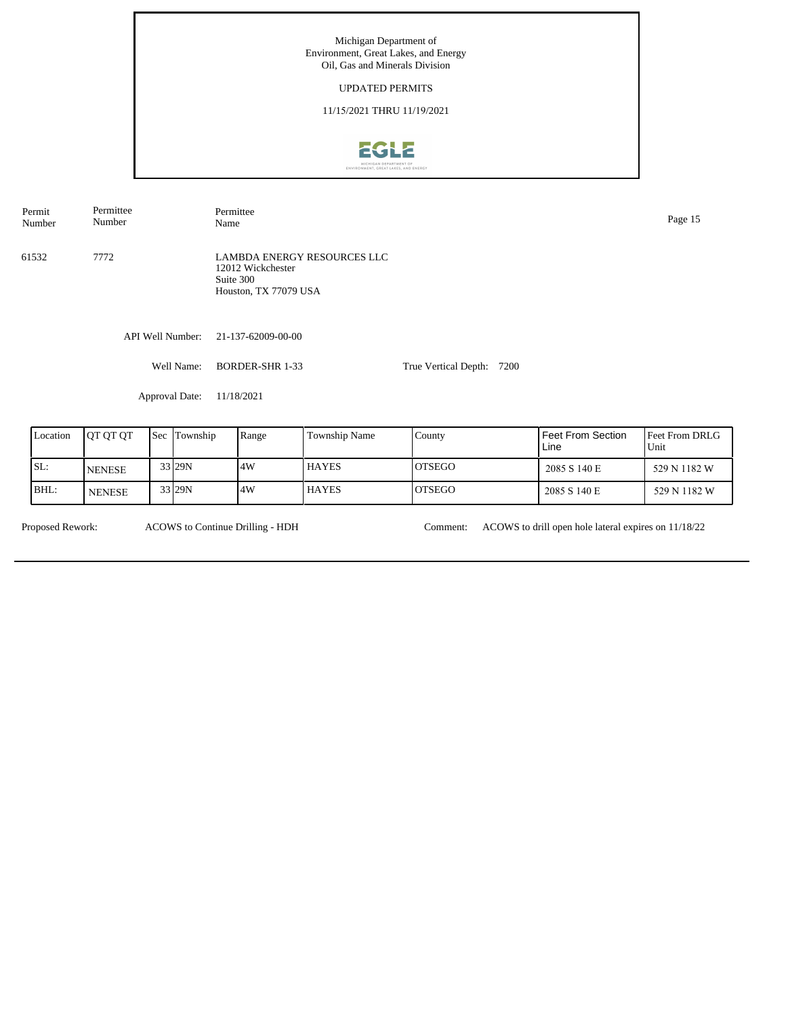## UPDATED PERMITS

11/15/2021 THRU 11/19/2021



API Well Number: 21-137-62009-00-00 Well Name: BORDER-SHR 1-33 Approval Date: 11/18/2021 True Vertical Depth: 7200 61532 7772 LAMBDA ENERGY RESOURCES LLC 12012 Wickchester Suite 300 Houston, TX 77079 USA Permit Number Permittee Number Permittee Name Page 15

| Location | IOT OT OT     | <b>Sec Township</b> | Range | Township Name | County        | Feet From Section<br>Line | <b>Feet From DRLG</b><br>Unit |
|----------|---------------|---------------------|-------|---------------|---------------|---------------------------|-------------------------------|
| ISL:     | <b>NENESE</b> | 33 29N              | 4W    | <b>HAYES</b>  | IOTSEGO       | 2085 S 140 E              | 529 N 1182 W                  |
| BHL:     | <b>NENESE</b> | 33 29N              | .4W   | <b>HAYES</b>  | <b>OTSEGO</b> | 2085 S 140 E              | 529 N 1182 W                  |

ACOWS to Continue Drilling - HDH

Proposed Rework: ACOWS to Continue Drilling - HDH Comment: ACOWS to drill open hole lateral expires on 11/18/22